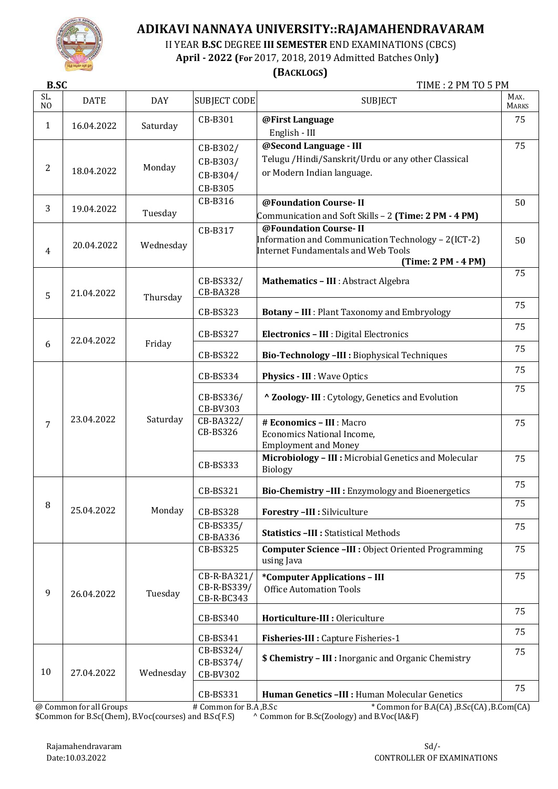

II YEAR **B.SC** DEGREE **III SEMESTER** END EXAMINATIONS (CBCS)

 **April - 2022 (For** 2017, 2018, 2019 Admitted Batches Only**)**

 **(BACKLOGS)**

**B.SC** TIME : 2 PM TO 5 PM

| SL.<br>N <sub>O</sub> | <b>DATE</b> | <b>DAY</b> | <b>SUBJECT CODE</b>                         | <b>SUBJECT</b>                                                                                                                                    | MAX.<br><b>MARKS</b> |
|-----------------------|-------------|------------|---------------------------------------------|---------------------------------------------------------------------------------------------------------------------------------------------------|----------------------|
| 1                     | 16.04.2022  | Saturday   | CB-B301                                     | @First Language<br>English - III                                                                                                                  | 75                   |
| $\overline{2}$        | 18.04.2022  | Monday     | CB-B302/<br>CB-B303/<br>CB-B304/<br>CB-B305 | @Second Language - III<br>Telugu / Hindi/Sanskrit/Urdu or any other Classical<br>or Modern Indian language.                                       | 75                   |
| 3                     | 19.04.2022  | Tuesday    | CB-B316                                     | @Foundation Course-II<br>Communication and Soft Skills - 2 (Time: 2 PM - 4 PM)                                                                    | 50                   |
| 4                     | 20.04.2022  | Wednesday  | CB-B317                                     | @Foundation Course-II<br>Information and Communication Technology - 2(ICT-2)<br><b>Internet Fundamentals and Web Tools</b><br>(Time: 2 PM - 4 PM) | 50                   |
| 5                     | 21.04.2022  | Thursday   | CB-BS332/<br><b>CB-BA328</b>                | Mathematics - III : Abstract Algebra                                                                                                              | 75                   |
|                       |             |            | CB-BS323                                    | <b>Botany - III</b> : Plant Taxonomy and Embryology                                                                                               | 75                   |
|                       | 22.04.2022  |            | <b>CB-BS327</b>                             | Electronics - III : Digital Electronics                                                                                                           | 75                   |
| 6                     |             | Friday     | CB-BS322                                    | Bio-Technology -III : Biophysical Techniques                                                                                                      | 75                   |
|                       | 23.04.2022  | Saturday   | CB-BS334                                    | <b>Physics - III: Wave Optics</b>                                                                                                                 | 75                   |
|                       |             |            | CB-BS336/<br><b>CB-BV303</b>                | ^ Zoology- III : Cytology, Genetics and Evolution                                                                                                 | 75                   |
| 7                     |             |            | CB-BA322/<br>CB-BS326                       | # Economics - III : Macro<br><b>Economics National Income,</b><br><b>Employment and Money</b>                                                     | 75                   |
|                       |             |            | CB-BS333                                    | Microbiology - III : Microbial Genetics and Molecular<br><b>Biology</b>                                                                           | 75                   |
|                       |             |            | <b>CB-BS321</b>                             | Bio-Chemistry -III : Enzymology and Bioenergetics                                                                                                 | 75                   |
| 8                     | 25.04.2022  | Monday     | <b>CB-BS328</b>                             | Forestry -III : Silviculture                                                                                                                      | 75                   |
|                       |             |            | CB-BS335/<br>CB-BA336                       | <b>Statistics - III : Statistical Methods</b>                                                                                                     | 75                   |
|                       |             |            | <b>CB-BS325</b>                             | <b>Computer Science -III : Object Oriented Programming</b><br>using Java                                                                          | 75                   |
| 9                     | 26.04.2022  | Tuesday    | CB-R-BA321/<br>CB-R-BS339/<br>CB-R-BC343    | *Computer Applications - III<br><b>Office Automation Tools</b>                                                                                    | 75                   |
|                       |             |            | CB-BS340                                    | Horticulture-III : Olericulture                                                                                                                   | 75                   |
|                       |             |            | CB-BS341                                    | Fisheries-III : Capture Fisheries-1                                                                                                               | 75                   |
| 10                    | 27.04.2022  | Wednesday  | CB-BS324/<br>CB-BS374/<br>CB-BV302          | <b>\$ Chemistry - III : Inorganic and Organic Chemistry</b>                                                                                       | 75                   |
|                       |             |            | CB-BS331                                    | Human Genetics -III : Human Molecular Genetics                                                                                                    | 75                   |

@ Common for all Groups # Common for B.A ,B.Sc \* Common for B.A(CA) ,B.Sc(CA) ,B.Com(CA) \$Common for B.Sc(Chem), B.Voc(courses) and B.Sc(F.S) ^ Common for B.Sc(Zoology) and B.Voc(IA&F)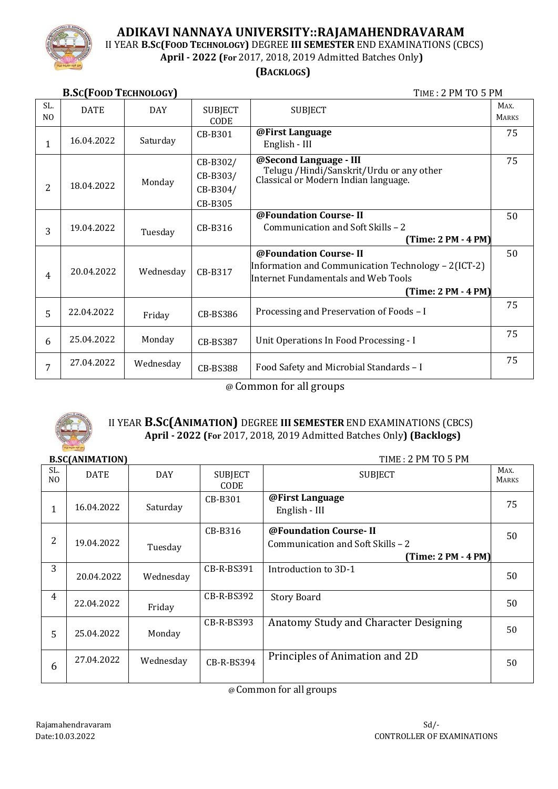

II YEAR **B.SC(FOOD TECHNOLOGY)** DEGREE **III SEMESTER** END EXAMINATIONS (CBCS)

**April - 2022 (For** 2017, 2018, 2019 Admitted Batches Only**)**

### **(BACKLOGS)**

**B.SC(FOOD TECHNOLOGY)** TIME : 2 PM TO 5 PM SL. NO DATE | DAY | SUBJECT CODE SUBJECT MAX. **MARKS** 1 16.04.2022 Saturday CB-B301 **@First Language** English - III 75 2 18.04.2022 Monday CB-B302/ CB-B303/ CB-B304/ CB-B305 **@Second Language - III** Telugu /Hindi/Sanskrit/Urdu or any other Classical or Modern Indian language. 75 3 19.04.2022 Tuesday CB-B316 **@Foundation Course- II** Communication and Soft Skills – 2 **(Time: 2 PM - 4 PM)** 50 4 20.04.2022 | Wednesday | CB-B317 **@Foundation Course- II** Information and Communication Technology – 2(ICT-2) Internet Fundamentals and Web Tools **(Time: 2 PM - 4 PM)** 50  $\begin{array}{c|c|c|c|c} 5 & 22.04.2022 & \text{Fridav} \end{array}$  CB-BS386 Processing and Preservation of Foods – I 75  $\begin{array}{|c|c|c|c|c|c|c|c|} \hline 6 & 25.04.2022 & \text{Monday} & \text{CB-BS387} & \text{Unit Operations In Food Processing - I} \ \hline \end{array}$ 75 7 27.04.2022 Wednesday  $\Big|$  CB-BS388 Food Safety and Microbial Standards – I 75

@ Common for all groups



### II YEAR **B.SC(ANIMATION)** DEGREE **III SEMESTER** END EXAMINATIONS (CBCS)  **April - 2022 (For** 2017, 2018, 2019 Admitted Batches Only**) (Backlogs)**

#### **B.SC(ANIMATION)** TIME : 2 PM TO 5 PM

| SL.<br>N <sub>O</sub> | <b>DATE</b> | <b>DAY</b> | <b>SUBJECT</b><br>CODE | <b>SUBJECT</b>                                                                      | MAX.<br><b>MARKS</b> |
|-----------------------|-------------|------------|------------------------|-------------------------------------------------------------------------------------|----------------------|
| 1                     | 16.04.2022  | Saturday   | CB-B301                | @First Language<br>English - III                                                    | 75                   |
| 2                     | 19.04.2022  | Tuesday    | CB-B316                | @Foundation Course-II<br>Communication and Soft Skills - 2<br>$(Time: 2 PM - 4 PM)$ | 50                   |
| 3                     | 20.04.2022  | Wednesday  | CB-R-BS391             | Introduction to 3D-1                                                                | 50                   |
| $\overline{4}$        | 22.04.2022  | Friday     | CB-R-BS392             | <b>Story Board</b>                                                                  | 50                   |
| 5                     | 25.04.2022  | Monday     | CB-R-BS393             | Anatomy Study and Character Designing                                               | 50                   |
| 6                     | 27.04.2022  | Wednesday  | CB-R-BS394             | Principles of Animation and 2D                                                      | 50                   |

@ Common for all groups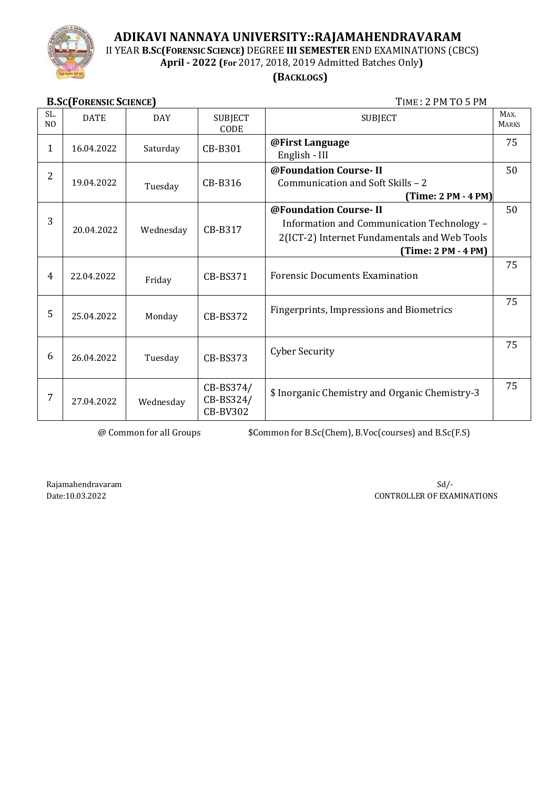

II YEAR **B.SC(FORENSIC SCIENCE)** DEGREE **III SEMESTER** END EXAMINATIONS (CBCS)

**April - 2022 (For** 2017, 2018, 2019 Admitted Batches Only**)**

# **(BACKLOGS)**

| <b>B.SC(FORENSIC SCIENCE)</b> |
|-------------------------------|
|-------------------------------|

**B.SC(FORENSIC SCIENCE)** TIME : 2 PM TO 5 PM

| <b>BIBONE ORDINAL DOILINGS</b> |             |            |                                           |                                                                                                                                            |                      |
|--------------------------------|-------------|------------|-------------------------------------------|--------------------------------------------------------------------------------------------------------------------------------------------|----------------------|
| SL.<br>N <sub>O</sub>          | <b>DATE</b> | <b>DAY</b> | <b>SUBJECT</b><br>CODE                    | <b>SUBJECT</b>                                                                                                                             | MAX.<br><b>MARKS</b> |
| 1                              | 16.04.2022  | Saturday   | CB-B301                                   | @First Language<br>English - III                                                                                                           | 75                   |
| 2                              | 19.04.2022  | Tuesday    | CB-B316                                   | @Foundation Course-II<br>Communication and Soft Skills - 2<br>$(Time: 2 PM - 4 PM)$                                                        | 50                   |
| 3                              | 20.04.2022  | Wednesday  | CB-B317                                   | @Foundation Course-II<br>Information and Communication Technology -<br>2(ICT-2) Internet Fundamentals and Web Tools<br>(Time: 2 PM - 4 PM) | 50                   |
| 4                              | 22.04.2022  | Friday     | CB-BS371                                  | <b>Forensic Documents Examination</b>                                                                                                      | 75                   |
| 5                              | 25.04.2022  | Monday     | <b>CB-BS372</b>                           | Fingerprints, Impressions and Biometrics                                                                                                   | 75                   |
| 6                              | 26.04.2022  | Tuesday    | CB-BS373                                  | <b>Cyber Security</b>                                                                                                                      | 75                   |
| 7                              | 27.04.2022  | Wednesday  | CB-BS374/<br>CB-BS324/<br><b>CB-BV302</b> | \$ Inorganic Chemistry and Organic Chemistry-3                                                                                             | 75                   |

@ Common for all Groups \$Common for B.Sc(Chem), B.Voc(courses) and B.Sc(F.S)

Rajamahendravaram Sd/-Date:10.03.2022 CONTROLLER OF EXAMINATIONS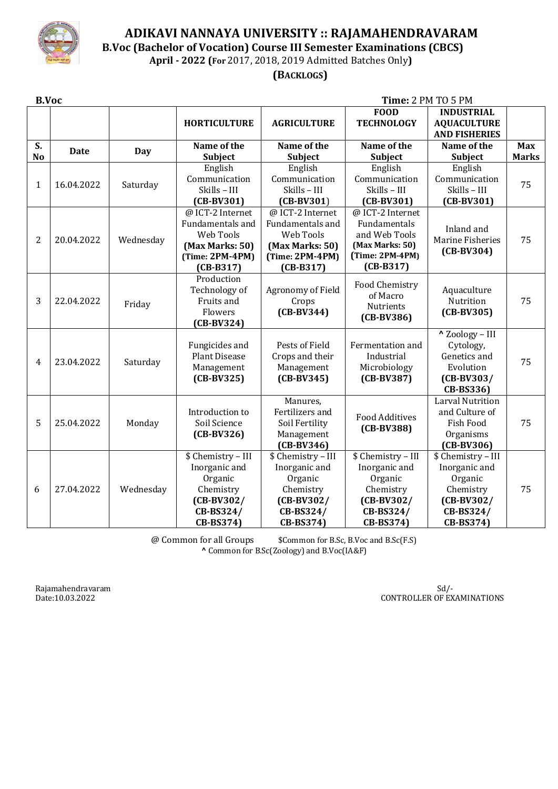

 **B.Voc (Bachelor of Vocation) Course III Semester Examinations (CBCS) April - 2022 (For** 2017, 2018, 2019 Admitted Batches Only**)**

 **(BACKLOGS)**

| <b>B.Voc</b>         |             |           |                                                                                                          |                                                                                                          | Time: 2 PM TO 5 PM                                                                                       |                                                                                                       |                            |
|----------------------|-------------|-----------|----------------------------------------------------------------------------------------------------------|----------------------------------------------------------------------------------------------------------|----------------------------------------------------------------------------------------------------------|-------------------------------------------------------------------------------------------------------|----------------------------|
|                      |             |           | <b>HORTICULTURE</b>                                                                                      | <b>AGRICULTURE</b>                                                                                       | <b>FOOD</b><br><b>TECHNOLOGY</b>                                                                         | <b>INDUSTRIAL</b><br><b>AQUACULTURE</b><br><b>AND FISHERIES</b>                                       |                            |
| S.<br>N <sub>o</sub> | <b>Date</b> | Day       | Name of the<br>Subject                                                                                   | Name of the<br><b>Subject</b>                                                                            | Name of the<br><b>Subject</b>                                                                            | Name of the<br>Subject                                                                                | <b>Max</b><br><b>Marks</b> |
| 1                    | 16.04.2022  | Saturday  | English<br>Communication<br>Skills - III<br>$(CB-BV301)$                                                 | English<br>Communication<br>Skills - III<br>$(CB-BV301)$                                                 | English<br>Communication<br>Skills - III<br>$(CB-BV301)$                                                 | English<br>Communication<br>Skills - III<br>$(CB-BV301)$                                              | 75                         |
| $\overline{2}$       | 20.04.2022  | Wednesday | @ ICT-2 Internet<br>Fundamentals and<br>Web Tools<br>(Max Marks: 50)<br>$(Time: 2PM-4PM)$<br>$(CB-B317)$ | @ ICT-2 Internet<br>Fundamentals and<br>Web Tools<br>(Max Marks: 50)<br>$(Time: 2PM-4PM)$<br>$(CB-B317)$ | @ ICT-2 Internet<br>Fundamentals<br>and Web Tools<br>(Max Marks: 50)<br>$(Time: 2PM-4PM)$<br>$(CB-B317)$ | Inland and<br>Marine Fisheries<br>$(CB-BV304)$                                                        | 75                         |
| 3                    | 22.04.2022  | Friday    | Production<br>Technology of<br>Fruits and<br>Flowers<br>$(CB-BV324)$                                     | Agronomy of Field<br>Crops<br>$(CB-BV344)$                                                               | Food Chemistry<br>of Macro<br>Nutrients<br>$(CB-BV386)$                                                  | Aquaculture<br>Nutrition<br>$(CB-BV305)$                                                              | 75                         |
| $\overline{4}$       | 23.04.2022  | Saturday  | Fungicides and<br><b>Plant Disease</b><br>Management<br>$(CB-BV325)$                                     | Pests of Field<br>Crops and their<br>Management<br>$(CB-BV345)$                                          | Fermentation and<br>Industrial<br>Microbiology<br>$(CB-BV387)$                                           | " Zoology - III<br>Cytology,<br>Genetics and<br>Evolution<br>$(CB-BV303/$<br>CB-BS336)                | 75                         |
| 5                    | 25.04.2022  | Monday    | Introduction to<br>Soil Science<br>$(CB-BV326)$                                                          | Manures,<br>Fertilizers and<br>Soil Fertility<br>Management<br>$(CB-BV346)$                              | <b>Food Additives</b><br>$(CB-BV388)$                                                                    | <b>Larval Nutrition</b><br>and Culture of<br><b>Fish Food</b><br>Organisms<br>$(CB-BV306)$            | 75                         |
| 6                    | 27.04.2022  | Wednesday | \$ Chemistry - III<br>Inorganic and<br>Organic<br>Chemistry<br>$(CB-BV302/$<br>CB-BS324/<br>CB-BS374)    | \$ Chemistry - III<br>Inorganic and<br>Organic<br>Chemistry<br>$(CB-BV302/$<br>CB-BS324/<br>CB-BS374)    | \$ Chemistry - III<br>Inorganic and<br>Organic<br>Chemistry<br>$(CB-BV302/$<br>CB-BS324/<br>CB-BS374)    | \$ Chemistry - III<br>Inorganic and<br>Organic<br>Chemistry<br>$(CB-BV302/$<br>CB-BS324/<br>CB-BS374) | 75                         |

@ Common for all Groups \$Common for B.Sc, B.Voc and B.Sc(F.S) **^** Common for B.Sc(Zoology) and B.Voc(IA&F)

Rajamahendravaram Sd/-

Date:10.03.2022 CONTROLLER OF EXAMINATIONS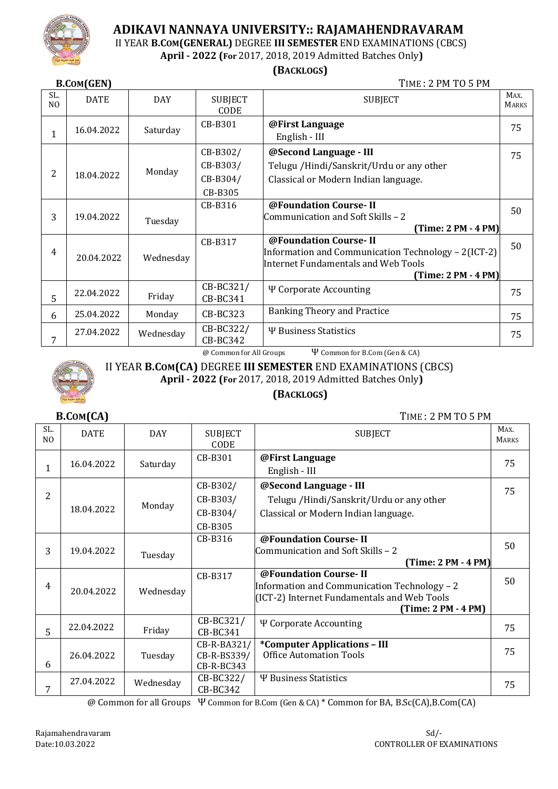

II YEAR **B.COM(GENERAL)** DEGREE **III SEMESTER** END EXAMINATIONS (CBCS)

**April - 2022 (For** 2017, 2018, 2019 Admitted Batches Only**)**

### **(BACKLOGS)**

**B.COM(GEN)** TIME : 2 PM TO 5 PM SL. SL. DATE DAY SUBJECT CODE SUBJECT MAX. **MARKS** 1 16.04.2022 Saturday CB-B301 **@First Language** English - III 75 2 18.04.2022 Monday CB-B302/ CB-B303/ CB-B304/ CB-B305 **@Second Language - III** Telugu /Hindi/Sanskrit/Urdu or any other Classical or Modern Indian language. 75 3 19.04.2022 Tuesday CB-B316 **@Foundation Course- II** Communication and Soft Skills – 2 **(Time: 2 PM - 4 PM)** 50 4 20.04.2022 Wednesday CB-B317 **@Foundation Course- II** Information and Communication Technology – 2(ICT-2) Internet Fundamentals and Web Tools **(Time: 2 PM - 4 PM)** 50 5 22.04.2022 | Friday CB-BC321/ CB-BC341 Ѱ Corporate Accounting 75  $\begin{array}{|c|c|c|c|c|c|} \hline 6 & 25.04.2022 & \text{Monday} & CB-BC323 & Banking Theory and Practice & 75.58 \hline \end{array}$ 7 27.04.2022 | Wednesday | CB-BC322/ CB-BC342  $\Psi$  Business Statistics  $\begin{array}{|c|c|c|c|c|c|c|c|c|} \hline & & & & & 75 \ \hline \end{array}$ 

@ Common for All Groups Ѱ Common for B.Com (Gen & CA)



SL.  $N<sub>0</sub>$  II YEAR **B.COM(CA)** DEGREE **III SEMESTER** END EXAMINATIONS (CBCS)

**April - 2022 (For** 2017, 2018, 2019 Admitted Batches Only**)**

 **(BACKLOGS)**

DATE | DAY | SUBJECT

**B.COM(CA)** TIME : 2 PM TO 5 PM SUBJECT MAX. **MARKS** 

| IV. |            |           | CODE                                        |                                                                                                                                             | <b>PLARAS</b> |
|-----|------------|-----------|---------------------------------------------|---------------------------------------------------------------------------------------------------------------------------------------------|---------------|
| 1   | 16.04.2022 | Saturday  | CB-B301                                     | @First Language<br>English - III                                                                                                            | 75            |
| 2   | 18.04.2022 | Monday    | CB-B302/<br>CB-B303/<br>CB-B304/<br>CB-B305 | @Second Language - III<br>Telugu / Hindi/Sanskrit/Urdu or any other<br>Classical or Modern Indian language.                                 | 75            |
| 3   | 19.04.2022 | Tuesday   | CB-B316                                     | @Foundation Course-II<br>Communication and Soft Skills - 2<br>(Time: 2 PM - 4 PM)                                                           | 50            |
| 4   | 20.04.2022 | Wednesday | CB-B317                                     | @Foundation Course-II<br>Information and Communication Technology - 2<br>(ICT-2) Internet Fundamentals and Web Tools<br>(Time: 2 PM - 4 PM) | 50            |
| 5   | 22.04.2022 | Friday    | CB-BC321/<br>CB-BC341                       | Ψ Corporate Accounting                                                                                                                      | 75            |
| 6   | 26.04.2022 | Tuesday   | CB-R-BA321/<br>CB-R-BS339/<br>CB-R-BC343    | *Computer Applications - III<br><b>Office Automation Tools</b>                                                                              | 75            |
| 7   | 27.04.2022 | Wednesday | CB-BC322/<br>CB-BC342                       | <b><i>W</i></b> Business Statistics                                                                                                         | 75            |

@ Common for all Groups Ѱ Common for B.Com (Gen & CA) \* Common for BA, B.Sc(CA),B.Com(CA)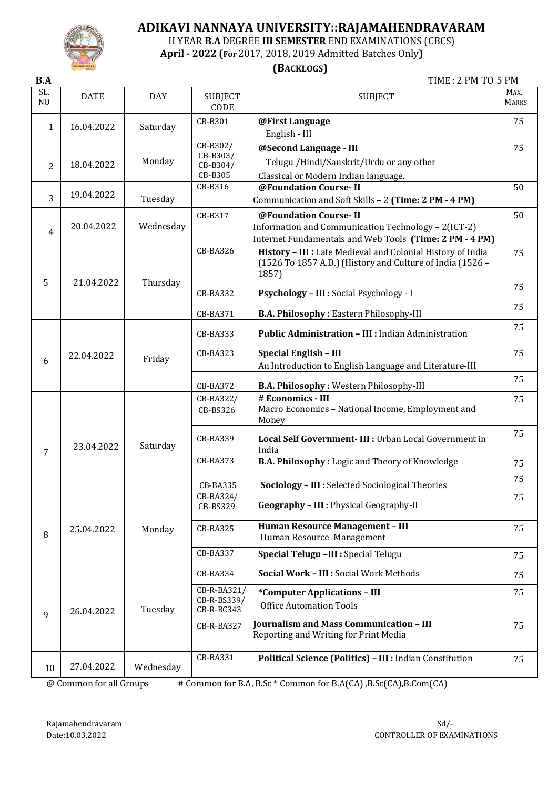

II YEAR **B.A** DEGREE **III SEMESTER** END EXAMINATIONS (CBCS)

**April - 2022 (For** 2017, 2018, 2019 Admitted Batches Only**)**

## **(BACKLOGS)**

**B.A** TIME : 2 PM TO 5 PM

| SL.<br>N <sub>O</sub> | <b>DATE</b> | <b>DAY</b> | <b>SUBJECT</b><br>CODE | <b>SUBJECT</b>                                                                                                           | MAX.<br><b>MARKS</b> |
|-----------------------|-------------|------------|------------------------|--------------------------------------------------------------------------------------------------------------------------|----------------------|
| 1                     | 16.04.2022  | Saturday   | CB-B301                | @First Language                                                                                                          | 75                   |
|                       |             |            |                        | English - III                                                                                                            |                      |
|                       |             |            | CB-B302/               | @Second Language - III                                                                                                   | 75                   |
| 2                     | 18.04.2022  | Monday     | CB-B303/<br>CB-B304/   | Telugu / Hindi/Sanskrit/Urdu or any other                                                                                |                      |
|                       |             |            | CB-B305                | Classical or Modern Indian language.                                                                                     |                      |
|                       | 19.04.2022  |            | CB-B316                | @Foundation Course-II                                                                                                    | 50                   |
| 3                     |             | Tuesday    |                        | Communication and Soft Skills - 2 (Time: 2 PM - 4 PM)                                                                    |                      |
|                       |             |            | CB-B317                | @Foundation Course-II                                                                                                    | 50                   |
| $\overline{4}$        | 20.04.2022  | Wednesday  |                        | Information and Communication Technology - 2(ICT-2)                                                                      |                      |
|                       |             |            |                        | Internet Fundamentals and Web Tools (Time: 2 PM - 4 PM)                                                                  |                      |
|                       |             |            | <b>CB-BA326</b>        | History - III : Late Medieval and Colonial History of India<br>(1526 To 1857 A.D.) (History and Culture of India (1526 - | 75                   |
|                       |             |            |                        | 1857)                                                                                                                    |                      |
| 5                     | 21.04.2022  | Thursday   | CB-BA332               | Psychology - III : Social Psychology - I                                                                                 | 75                   |
|                       |             |            |                        |                                                                                                                          | 75                   |
|                       |             |            | CB-BA371               | <b>B.A. Philosophy: Eastern Philosophy-III</b>                                                                           |                      |
|                       |             |            | CB-BA333               | Public Administration - III : Indian Administration                                                                      | 75                   |
|                       | 22.04.2022  | Friday     | CB-BA323               | <b>Special English - III</b>                                                                                             | 75                   |
| 6                     |             |            |                        | An Introduction to English Language and Literature-III                                                                   |                      |
|                       |             |            | CB-BA372               | B.A. Philosophy: Western Philosophy-III                                                                                  | 75                   |
|                       |             |            | CB-BA322/              | # Economics - III                                                                                                        | 75                   |
|                       |             |            | CB-BS326               | Macro Economics - National Income, Employment and                                                                        |                      |
|                       |             |            |                        | Money                                                                                                                    |                      |
|                       |             |            | CB-BA339               | Local Self Government- III : Urban Local Government in                                                                   | 75                   |
| 7                     | 23.04.2022  | Saturday   |                        | India                                                                                                                    |                      |
|                       |             |            | <b>CB-BA373</b>        | B.A. Philosophy: Logic and Theory of Knowledge                                                                           | 75                   |
|                       |             |            |                        |                                                                                                                          | 75                   |
|                       |             |            | <b>CB-BA335</b>        | Sociology - III : Selected Sociological Theories                                                                         |                      |
|                       |             |            | CB-BA324/<br>CB-BS329  | Geography - III : Physical Geography-II                                                                                  | 75                   |
|                       | 25.04.2022  | Monday     | CB-BA325               | Human Resource Management - III                                                                                          | 75                   |
| 8                     |             |            |                        | Human Resource Management                                                                                                |                      |
|                       |             |            | CB-BA337               | Special Telugu -III : Special Telugu                                                                                     | 75                   |
|                       |             |            | CB-BA334               | Social Work - III : Social Work Methods                                                                                  | 75                   |
|                       |             |            | CB-R-BA321/            | *Computer Applications - III                                                                                             | 75                   |
|                       |             |            | CB-R-BS339/            | <b>Office Automation Tools</b>                                                                                           |                      |
| 9                     | 26.04.2022  | Tuesday    | CB-R-BC343             |                                                                                                                          |                      |
|                       |             |            | CB-R-BA327             | <b>Journalism and Mass Communication - III</b><br>Reporting and Writing for Print Media                                  | 75                   |
|                       |             |            |                        |                                                                                                                          |                      |
|                       |             |            | CB-BA331               | Political Science (Politics) - III : Indian Constitution                                                                 | 75                   |
| 10                    | 27.04.2022  | Wednesday  |                        |                                                                                                                          |                      |

 $\omega$  Common for all Groups # Common for B.A, B.Sc  $*$  Common for B.A(CA), B.Sc(CA), B.Com(CA)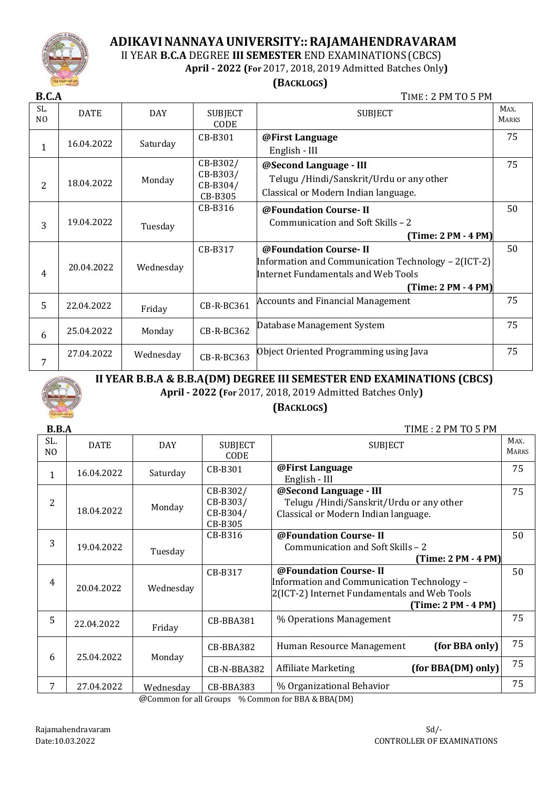

II YEAR **B.C.A** DEGREE **III SEMESTER** END EXAMINATIONS(CBCS)

 **April - 2022 (For** 2017, 2018, 2019 Admitted Batches Only**)**

#### **(BACKLOGS)**

**B.C.A** TIME : 2 PM TO 5 PM

| SL.<br>N <sub>O</sub> | <b>DATE</b> | <b>DAY</b> | <b>SUBJECT</b><br>CODE                      | <b>SUBJECT</b>                                                                                                                               | MAX.<br><b>MARKS</b> |
|-----------------------|-------------|------------|---------------------------------------------|----------------------------------------------------------------------------------------------------------------------------------------------|----------------------|
| 1                     | 16.04.2022  | Saturday   | CB-B301                                     | @First Language<br>English - III                                                                                                             | 75                   |
| 2                     | 18.04.2022  | Monday     | CB-B302/<br>CB-B303/<br>CB-B304/<br>CB-B305 | @Second Language - III<br>Telugu / Hindi/Sanskrit/Urdu or any other<br>Classical or Modern Indian language.                                  | 75                   |
| 3                     | 19.04.2022  | Tuesday    | $CB-B316$                                   | @Foundation Course-II<br>Communication and Soft Skills - 2<br>$(Time: 2 PM - 4 PM)$                                                          | 50                   |
| 4                     | 20.04.2022  | Wednesday  | CB-B317                                     | @Foundation Course-II<br>Information and Communication Technology - 2(ICT-2)<br>Internet Fundamentals and Web Tools<br>$(Time: 2 PM - 4 PM)$ | 50                   |
| 5                     | 22.04.2022  | Friday     | CB-R-BC361                                  | <b>Accounts and Financial Management</b>                                                                                                     | 75                   |
| 6                     | 25.04.2022  | Monday     | CB-R-BC362                                  | Database Management System                                                                                                                   | 75                   |
| 7                     | 27.04.2022  | Wednesday  | CB-R-BC363                                  | Object Oriented Programming using Java                                                                                                       | 75                   |



**II YEAR B.B.A & B.B.A(DM) DEGREE III SEMESTER END EXAMINATIONS (CBCS)**

**April - 2022 (For** 2017, 2018, 2019 Admitted Batches Only**)**

### **(BACKLOGS)**

| <b>B.B.A</b>          |             |            |                                             | TIME: 2 PM TO 5 PM                                                                                                                         |                      |
|-----------------------|-------------|------------|---------------------------------------------|--------------------------------------------------------------------------------------------------------------------------------------------|----------------------|
| SL.<br>N <sub>O</sub> | <b>DATE</b> | <b>DAY</b> | <b>SUBJECT</b><br>CODE                      | <b>SUBJECT</b>                                                                                                                             | MAX.<br><b>MARKS</b> |
| $\mathbf{1}$          | 16.04.2022  | Saturday   | CB-B301                                     | @First Language<br>English - III                                                                                                           | 75                   |
| 2                     | 18.04.2022  | Monday     | CB-B302/<br>CB-B303/<br>CB-B304/<br>CB-B305 | @Second Language - III<br>Telugu /Hindi/Sanskrit/Urdu or any other<br>Classical or Modern Indian language.                                 | 75                   |
| 3                     | 19.04.2022  | Tuesday    | CB-B316                                     | @Foundation Course-II<br>Communication and Soft Skills - 2<br>$(Time: 2 PM - 4 PM)$                                                        | 50                   |
| 4                     | 20.04.2022  | Wednesday  | CB-B317                                     | @Foundation Course-II<br>Information and Communication Technology -<br>2(ICT-2) Internet Fundamentals and Web Tools<br>(Time: 2 PM - 4 PM) | 50                   |
| 5                     | 22.04.2022  | Friday     | CB-BBA381                                   | % Operations Management                                                                                                                    | 75                   |
| 6                     | 25.04.2022  | Monday     | CB-BBA382                                   | (for BBA only)<br>Human Resource Management                                                                                                | 75                   |
|                       |             |            | CB-N-BBA382                                 | (for BBA(DM) only)<br><b>Affiliate Marketing</b>                                                                                           | 75                   |
| 7                     | 27.04.2022  | Wednesday  | CB-BBA383                                   | % Organizational Behavior                                                                                                                  | 75                   |

@Common for all Groups % Common for BBA & BBA(DM)